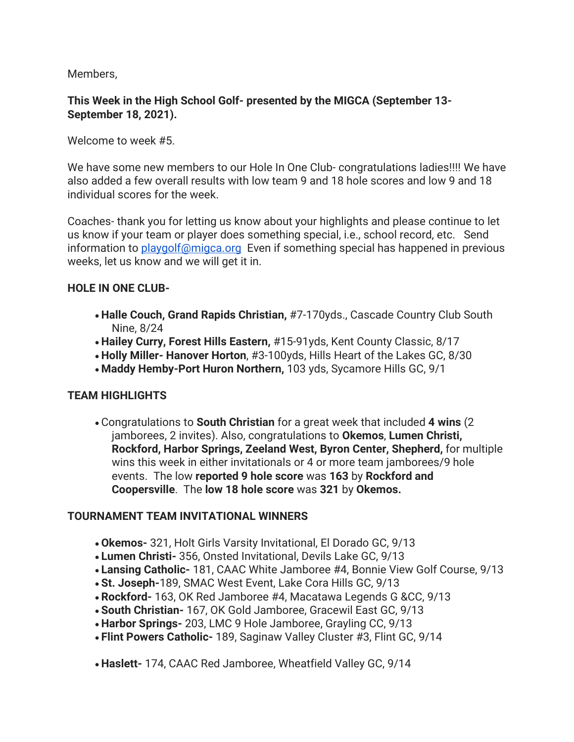Members,

## **This Week in the High School Golf- presented by the MIGCA (September 13- September 18, 2021).**

Welcome to week #5.

We have some new members to our Hole In One Club- congratulations ladies!!!! We have also added a few overall results with low team 9 and 18 hole scores and low 9 and 18 individual scores for the week.

Coaches- thank you for letting us know about your highlights and please continue to let us know if your team or player does something special, i.e., school record, etc. Send information to [playgolf@migca.org](mailto:playgolf@migca.org) Even if something special has happened in previous weeks, let us know and we will get it in.

#### **HOLE IN ONE CLUB-**

- **Halle Couch, Grand Rapids Christian,** #7-170yds., Cascade Country Club South Nine, 8/24
- **Hailey Curry, Forest Hills Eastern,** #15-91yds, Kent County Classic, 8/17
- **Holly Miller- Hanover Horton**, #3-100yds, Hills Heart of the Lakes GC, 8/30
- **Maddy Hemby-Port Huron Northern,** 103 yds, Sycamore Hills GC, 9/1

## **TEAM HIGHLIGHTS**

• Congratulations to **South Christian** for a great week that included **4 wins** (2 jamborees, 2 invites). Also, congratulations to **Okemos**, **Lumen Christi, Rockford, Harbor Springs, Zeeland West, Byron Center, Shepherd,** for multiple wins this week in either invitationals or 4 or more team jamborees/9 hole events. The low **reported 9 hole score** was **163** by **Rockford and Coopersville**. The **low 18 hole score** was **321** by **Okemos.**

## **TOURNAMENT TEAM INVITATIONAL WINNERS**

- **Okemos-** 321, Holt Girls Varsity Invitational, El Dorado GC, 9/13
- **Lumen Christi-** 356, Onsted Invitational, Devils Lake GC, 9/13
- **Lansing Catholic-** 181, CAAC White Jamboree #4, Bonnie View Golf Course, 9/13
- **St. Joseph-**189, SMAC West Event, Lake Cora Hills GC, 9/13
- **Rockford-** 163, OK Red Jamboree #4, Macatawa Legends G &CC, 9/13
- **South Christian-** 167, OK Gold Jamboree, Gracewil East GC, 9/13
- **Harbor Springs-** 203, LMC 9 Hole Jamboree, Grayling CC, 9/13
- **Flint Powers Catholic-** 189, Saginaw Valley Cluster #3, Flint GC, 9/14
- **Haslett-** 174, CAAC Red Jamboree, Wheatfield Valley GC, 9/14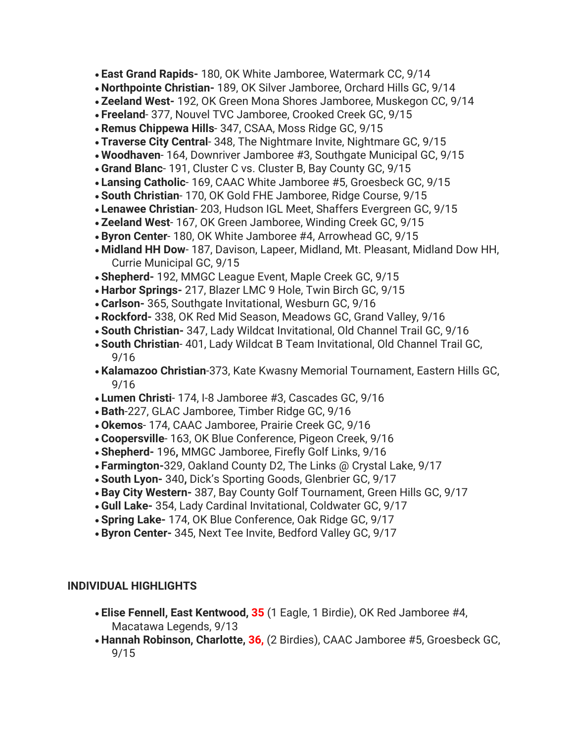- **East Grand Rapids-** 180, OK White Jamboree, Watermark CC, 9/14
- **Northpointe Christian-** 189, OK Silver Jamboree, Orchard Hills GC, 9/14
- **Zeeland West-** 192, OK Green Mona Shores Jamboree, Muskegon CC, 9/14
- **Freeland** 377, Nouvel TVC Jamboree, Crooked Creek GC, 9/15
- **Remus Chippewa Hills** 347, CSAA, Moss Ridge GC, 9/15
- **Traverse City Central** 348, The Nightmare Invite, Nightmare GC, 9/15
- **Woodhaven** 164, Downriver Jamboree #3, Southgate Municipal GC, 9/15
- **Grand Blanc** 191, Cluster C vs. Cluster B, Bay County GC, 9/15
- **Lansing Catholic** 169, CAAC White Jamboree #5, Groesbeck GC, 9/15
- **South Christian** 170, OK Gold FHE Jamboree, Ridge Course, 9/15
- **Lenawee Christian** 203, Hudson IGL Meet, Shaffers Evergreen GC, 9/15
- **Zeeland West** 167, OK Green Jamboree, Winding Creek GC, 9/15
- **Byron Center** 180, OK White Jamboree #4, Arrowhead GC, 9/15
- **Midland HH Dow** 187, Davison, Lapeer, Midland, Mt. Pleasant, Midland Dow HH, Currie Municipal GC, 9/15
- **Shepherd-** 192, MMGC League Event, Maple Creek GC, 9/15
- **Harbor Springs-** 217, Blazer LMC 9 Hole, Twin Birch GC, 9/15
- **Carlson-** 365, Southgate Invitational, Wesburn GC, 9/16
- **Rockford-** 338, OK Red Mid Season, Meadows GC, Grand Valley, 9/16
- **South Christian-** 347, Lady Wildcat Invitational, Old Channel Trail GC, 9/16
- **South Christian** 401, Lady Wildcat B Team Invitational, Old Channel Trail GC, 9/16
- **Kalamazoo Christian**-373, Kate Kwasny Memorial Tournament, Eastern Hills GC, 9/16
- **Lumen Christi** 174, I-8 Jamboree #3, Cascades GC, 9/16
- **Bath**-227, GLAC Jamboree, Timber Ridge GC, 9/16
- **Okemos** 174, CAAC Jamboree, Prairie Creek GC, 9/16
- **Coopersville** 163, OK Blue Conference, Pigeon Creek, 9/16
- **Shepherd-** 196**,** MMGC Jamboree, Firefly Golf Links, 9/16
- **Farmington-**329, Oakland County D2, The Links @ Crystal Lake, 9/17
- **South Lyon-** 340**,** Dick's Sporting Goods, Glenbrier GC, 9/17
- **Bay City Western-** 387, Bay County Golf Tournament, Green Hills GC, 9/17
- **Gull Lake-** 354, Lady Cardinal Invitational, Coldwater GC, 9/17
- **Spring Lake-** 174, OK Blue Conference, Oak Ridge GC, 9/17
- **Byron Center-** 345, Next Tee Invite, Bedford Valley GC, 9/17

# **INDIVIDUAL HIGHLIGHTS**

- **Elise Fennell, East Kentwood, 35** (1 Eagle, 1 Birdie), OK Red Jamboree #4, Macatawa Legends, 9/13
- **Hannah Robinson, Charlotte, 36,** (2 Birdies), CAAC Jamboree #5, Groesbeck GC, 9/15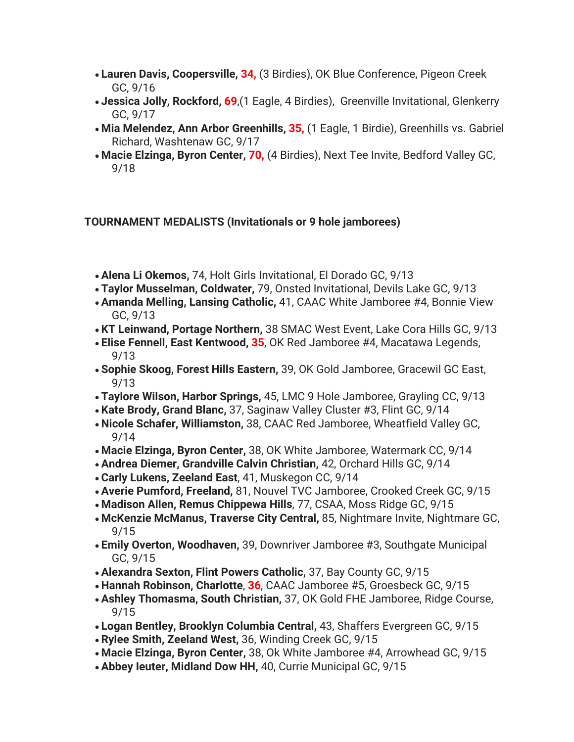- **Lauren Davis, Coopersville, 34,** (3 Birdies), OK Blue Conference, Pigeon Creek GC, 9/16
- **Jessica Jolly, Rockford, 69**,(1 Eagle, 4 Birdies), Greenville Invitational, Glenkerry GC, 9/17
- **Mia Melendez, Ann Arbor Greenhills, 35,** (1 Eagle, 1 Birdie), Greenhills vs. Gabriel Richard, Washtenaw GC, 9/17
- **Macie Elzinga, Byron Center, 70,** (4 Birdies), Next Tee Invite, Bedford Valley GC, 9/18

## **TOURNAMENT MEDALISTS (Invitationals or 9 hole jamborees)**

- **Alena Li Okemos,** 74, Holt Girls Invitational, El Dorado GC, 9/13
- **Taylor Musselman, Coldwater,** 79, Onsted Invitational, Devils Lake GC, 9/13
- **Amanda Melling, Lansing Catholic,** 41, CAAC White Jamboree #4, Bonnie View GC, 9/13
- **KT Leinwand, Portage Northern,** 38 SMAC West Event, Lake Cora Hills GC, 9/13
- **Elise Fennell, East Kentwood, 35**, OK Red Jamboree #4, Macatawa Legends, 9/13
- **Sophie Skoog, Forest Hills Eastern,** 39, OK Gold Jamboree, Gracewil GC East, 9/13
- **Taylore Wilson, Harbor Springs,** 45, LMC 9 Hole Jamboree, Grayling CC, 9/13
- **Kate Brody, Grand Blanc,** 37, Saginaw Valley Cluster #3, Flint GC, 9/14
- **Nicole Schafer, Williamston,** 38, CAAC Red Jamboree, Wheatfield Valley GC, 9/14
- **Macie Elzinga, Byron Center,** 38, OK White Jamboree, Watermark CC, 9/14
- **Andrea Diemer, Grandville Calvin Christian,** 42, Orchard Hills GC, 9/14
- **Carly Lukens, Zeeland East**, 41, Muskegon CC, 9/14
- **Averie Pumford, Freeland,** 81, Nouvel TVC Jamboree, Crooked Creek GC, 9/15
- **Madison Allen, Remus Chippewa Hills**, 77, CSAA, Moss Ridge GC, 9/15
- **McKenzie McManus, Traverse City Central,** 85, Nightmare Invite, Nightmare GC, 9/15
- **Emily Overton, Woodhaven,** 39, Downriver Jamboree #3, Southgate Municipal GC, 9/15
- **Alexandra Sexton, Flint Powers Catholic,** 37, Bay County GC, 9/15
- **Hannah Robinson, Charlotte**, **36**, CAAC Jamboree #5, Groesbeck GC, 9/15
- **Ashley Thomasma, South Christian,** 37, OK Gold FHE Jamboree, Ridge Course, 9/15
- **Logan Bentley, Brooklyn Columbia Central,** 43, Shaffers Evergreen GC, 9/15
- **Rylee Smith, Zeeland West,** 36, Winding Creek GC, 9/15
- **Macie Elzinga, Byron Center,** 38, Ok White Jamboree #4, Arrowhead GC, 9/15
- **Abbey Ieuter, Midland Dow HH,** 40, Currie Municipal GC, 9/15